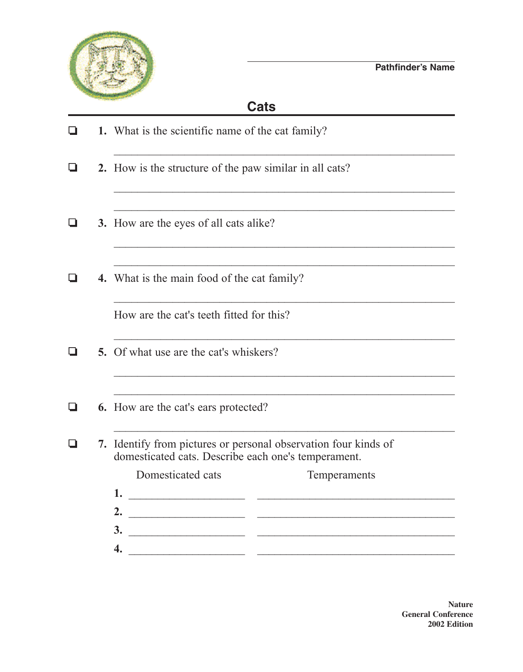

## **Cats**

 $\Box$  **1.** What is the scientific name of the cat family? **2.** How is the structure of the paw similar in all cats? \_\_\_\_\_\_\_\_\_\_\_\_\_\_\_\_\_\_\_\_\_\_\_\_\_\_\_\_\_\_\_\_\_\_\_\_\_\_\_\_\_\_\_\_\_\_\_\_\_\_\_\_\_\_\_\_\_\_  $\_$  , and the contribution of the contribution of  $\mathcal{L}_\mathcal{A}$  , and the contribution of  $\mathcal{L}_\mathcal{A}$ **4.** 3. How are the eyes of all cats alike? \_\_\_\_\_\_\_\_\_\_\_\_\_\_\_\_\_\_\_\_\_\_\_\_\_\_\_\_\_\_\_\_\_\_\_\_\_\_\_\_\_\_\_\_\_\_\_\_\_\_\_\_\_\_\_\_\_\_  $\Box$  4. What is the main food of the cat family?  $\_$  , and the contribution of the contribution of  $\mathcal{L}_\mathcal{A}$  , and the contribution of  $\mathcal{L}_\mathcal{A}$ How are the cat's teeth fitted for this?  $\_$  , and the contribution of the contribution of  $\mathcal{L}_\mathcal{A}$  , and the contribution of  $\mathcal{L}_\mathcal{A}$  $\Box$  5. Of what use are the cat's whiskers?  $\_$  , and the contribution of the contribution of  $\mathcal{L}_\mathcal{A}$  , and the contribution of  $\mathcal{L}_\mathcal{A}$ **6.** How are the cat's ears protected?  $\_$  , and the contribution of the contribution of  $\mathcal{L}_\mathcal{A}$  , and the contribution of  $\mathcal{L}_\mathcal{A}$  $\Box$  **7.** Identify from pictures or personal observation four kinds of domesticated cats. Describe each one's temperament. Domesticated cats Temperaments **1.** \_\_\_\_\_\_\_\_\_\_\_\_\_\_\_\_\_\_\_\_ \_\_\_\_\_\_\_\_\_\_\_\_\_\_\_\_\_\_\_\_\_\_\_\_\_\_\_\_\_\_\_\_\_\_ **2.** \_\_\_\_\_\_\_\_\_\_\_\_\_\_\_\_\_\_\_\_ \_\_\_\_\_\_\_\_\_\_\_\_\_\_\_\_\_\_\_\_\_\_\_\_\_\_\_\_\_\_\_\_\_\_ **3.** \_\_\_\_\_\_\_\_\_\_\_\_\_\_\_\_\_\_\_\_ \_\_\_\_\_\_\_\_\_\_\_\_\_\_\_\_\_\_\_\_\_\_\_\_\_\_\_\_\_\_\_\_\_\_ **4.** \_\_\_\_\_\_\_\_\_\_\_\_\_\_\_\_\_\_\_\_ \_\_\_\_\_\_\_\_\_\_\_\_\_\_\_\_\_\_\_\_\_\_\_\_\_\_\_\_\_\_\_\_\_\_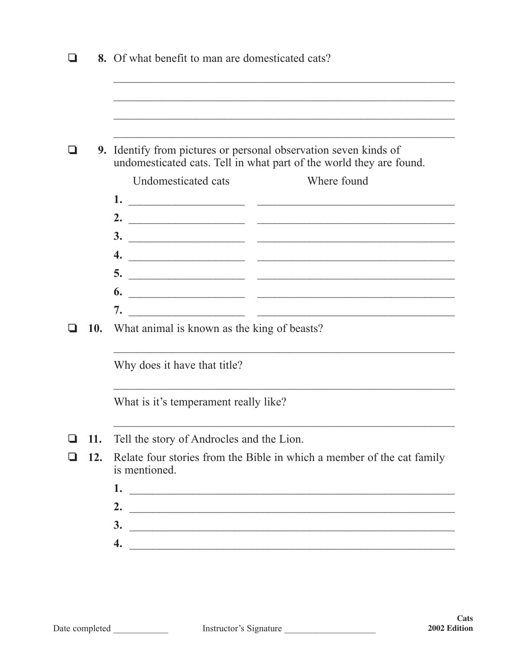|     | 8. Of what benefit to man are domesticated cats?                                                          |  |  |  |
|-----|-----------------------------------------------------------------------------------------------------------|--|--|--|
|     |                                                                                                           |  |  |  |
|     | 9. Identify from pictures or personal observation seven kinds of                                          |  |  |  |
|     | undomesticated cats. Tell in what part of the world they are found.<br>Where found<br>Undomesticated cats |  |  |  |
|     |                                                                                                           |  |  |  |
|     | 2. $\qquad \qquad$                                                                                        |  |  |  |
|     |                                                                                                           |  |  |  |
|     | 4. $\overline{\phantom{a}}$                                                                               |  |  |  |
|     |                                                                                                           |  |  |  |
|     |                                                                                                           |  |  |  |
|     |                                                                                                           |  |  |  |
| 10. | What animal is known as the king of beasts?                                                               |  |  |  |
|     | Why does it have that title?                                                                              |  |  |  |
|     | What is it's temperament really like?                                                                     |  |  |  |
| 11. | Tell the story of Androcles and the Lion.                                                                 |  |  |  |
| 12. | Relate four stories from the Bible in which a member of the cat family<br>is mentioned.                   |  |  |  |
|     | 1.                                                                                                        |  |  |  |
|     | 2.                                                                                                        |  |  |  |
|     | $\frac{3}{2}$                                                                                             |  |  |  |
|     | 4.                                                                                                        |  |  |  |
|     |                                                                                                           |  |  |  |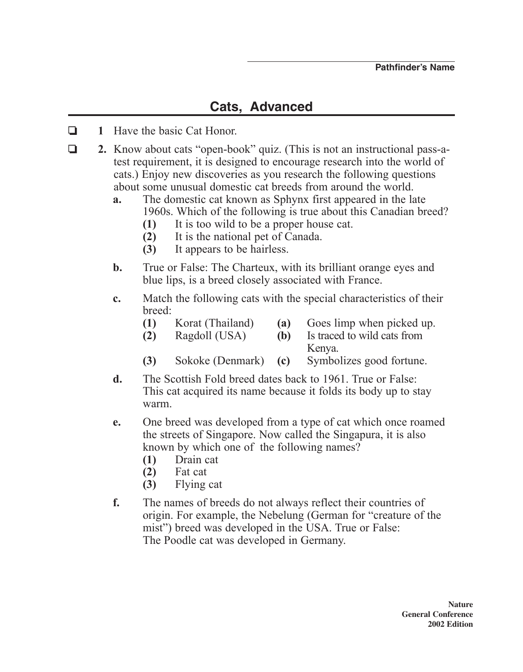## **Cats, Advanced**

- **1** Have the basic Cat Honor.
- **2.** Know about cats "open-book" quiz. (This is not an instructional pass-atest requirement, it is designed to encourage research into the world of cats.) Enjoy new discoveries as you research the following questions about some unusual domestic cat breeds from around the world.
	- **a.** The domestic cat known as Sphynx first appeared in the late 1960s. Which of the following is true about this Canadian breed?
		- **(1)** It is too wild to be a proper house cat.
		- **(2)** It is the national pet of Canada.
		- **(3)** It appears to be hairless.
	- **b.** True or False: The Charteux, with its brilliant orange eyes and blue lips, is a breed closely associated with France.
	- **c.** Match the following cats with the special characteristics of their breed:
		- **(1)** Korat (Thailand) **(a)** Goes limp when picked up.
		- **(2)** Ragdoll (uSA) **(b)** Is traced to wild cats from Kenya.
		- **(3)** Sokoke (Denmark) **(c)** Symbolizes good fortune.
	- **d.** The Scottish Fold breed dates back to 1961. True or False: This cat acquired its name because it folds its body up to stay warm.
	- **e.** One breed was developed from a type of cat which once roamed the streets of Singapore. Now called the Singapura, it is also known by which one of the following names?
		- **(1)** Drain cat
		- **(2)** Fat cat
		- **(3)** Flying cat
	- **f.** The names of breeds do not always reflect their countries of origin. For example, the Nebelung (German for "creature of the mist") breed was developed in the USA. True or False: The Poodle cat was developed in Germany.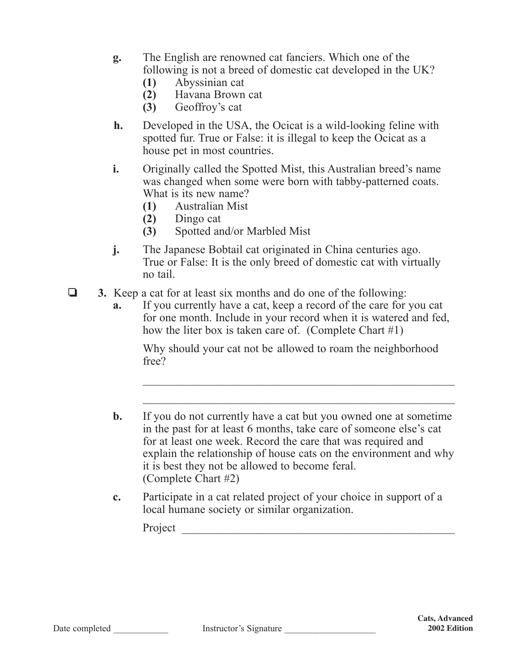- **g.** The English are renowned cat fanciers. Which one of the following is not a breed of domestic cat developed in the UK?
	- **(1)** Abyssinian cat
	- **(2)** Havana Brown cat
	- **(3)** Geoffroy's cat
- **h.** Developed in the USA, the Ocicat is a wild-looking feline with spotted fur. True or False: it is illegal to keep the Ocicat as a house pet in most countries.
- **i.** Originally called the Spotted Mist, this Australian breed's name was changed when some were born with tabby-patterned coats. What is its new name?
	- **(1)** Australian Mist
	- **(2)** Dingo cat
	- **(3)** Spotted and/or Marbled Mist
- **j.** The Japanese Bobtail cat originated in China centuries ago. True or False: It is the only breed of domestic cat with virtually no tail.
- **3.** Keep a cat for at least six months and do one of the following:
	- **a.** If you currently have a cat, keep a record of the care for you cat for one month. Include in your record when it is watered and fed, how the liter box is taken care of. (Complete Chart #1)

Why should your cat not be allowed to roam the neighborhood free?

 $\mathcal{L}_\text{max}$  , and the contract of the contract of the contract of the contract of the contract of the contract of the contract of the contract of the contract of the contract of the contract of the contract of the contr

 $\mathcal{L}_\text{max}$  , and the contract of the contract of the contract of the contract of the contract of the contract of the contract of the contract of the contract of the contract of the contract of the contract of the contr

- **b.** If you do not currently have a cat but you owned one at sometime in the past for at least 6 months, take care of someone else's cat for at least one week. Record the care that was required and explain the relationship of house cats on the environment and why it is best they not be allowed to become feral. (Complete Chart #2)
- **c.** Participate in a cat related project of your choice in support of a local humane society or similar organization.

Project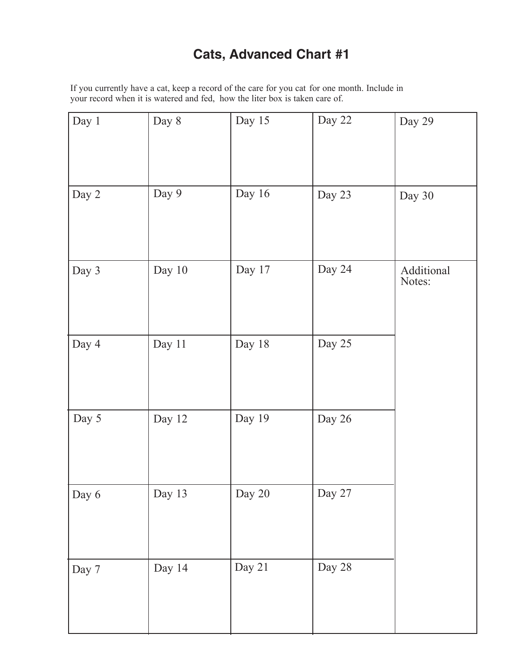## **Cats, Advanced Chart #1**

If you currently have a cat, keep a record of the care for you cat for one month. Include in your record when it is watered and fed, how the liter box is taken care of.

| Day 1 | Day 8  | Day 15 | Day 22 | Day 29               |
|-------|--------|--------|--------|----------------------|
| Day 2 | Day 9  | Day 16 | Day 23 | Day 30               |
| Day 3 | Day 10 | Day 17 | Day 24 | Additional<br>Notes: |
| Day 4 | Day 11 | Day 18 | Day 25 |                      |
| Day 5 | Day 12 | Day 19 | Day 26 |                      |
| Day 6 | Day 13 | Day 20 | Day 27 |                      |
| Day 7 | Day 14 | Day 21 | Day 28 |                      |